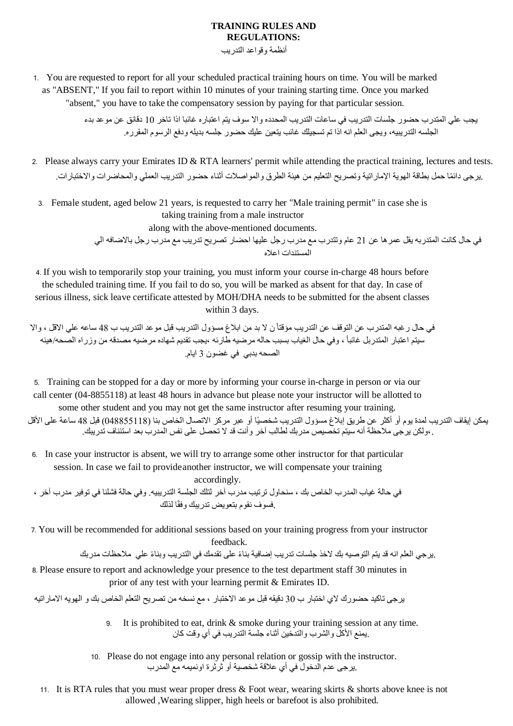## **TRAINING RULES AND REGULATIONS:**

أنظمة وقواعد التدريب

1. You are requested to report for all your scheduled practical training hours on time. You will be marked as "ABSENT," If you fail to report within 10 minutes of your training starting time. Once you marked "absent," you have to take the compensatory session by paying for that particular session.

> يجب علي المتدرب حضور جلسات التدريب في ساعات التدريب المحدده واال سوف يتم اعتباره غائبا اذا تاخر 10 دقائق عن موعد بدء الجلسه التدريبيه، ويجى العلم انه اذا تم تسجيلك غائب يتعين عليك حضور جلسه بديله ودفع الرسوم المقرره.

2. Please always carry your Emirates ID  $&$  RTA learners' permit while attending the practical training, lectures and tests. .يرجى دائمًا حمل بطاقة الهوية الإمار اتية وتصريح التعليم من هيئة الطرق والمواصلات أثناء حضور التدريب العملي والمحاضرات والاختبارات.

3. Female student, aged below 21 years, is requested to carry her "Male training permit" in case she is taking training from a male instructor

along with the above-mentioned documents.

في حال كانت المتدربه يقل عمرها عن 21 عام وتتدرب مع مدرب رجل عليها احضار تصريح تدريب مع مدرب رجل باالضافه الي المستندات اعاله

4. If you wish to temporarily stop your training, you must inform your course in-charge 48 hours before the scheduled training time. If you fail to do so, you will be marked as absent for that day. In case of serious illness, sick leave certificate attested by MOH/DHA needs to be submitted for the absent classes within 3 days.

في حال رغبه المتدرب عن التوقف عن التدريب مؤقتاً ن ال بد من ابالغ مسؤول التدريب قبل موعد التدريب ب 48 ساعه علي االقل ، واال سيتم اعتبار المتدربل غائباً ، وفي حال الغياب بسبب حاله مرضيه طارئه ،يجب تقديم شهاده مرضيه مصدقه من وزراه الصحه/هيئه الصحه بدبي في غضون 3 ايام.

5. Training can be stopped for a day or more by informing your course in-charge in person or via our call center (04-8855118) at least 48 hours in advance but please note your instructor will be allotted to some other student and you may not get the same instructor after resuming your training.

يمكن إيقاف التدريب لمدة يوم أو أكثر عن طريق إبلاغ مسؤول التدريب شخصيًا أو عبر مركز الاتصال الخاص بنا (048855118) قبل 48 ساعة على الأقل ،.ولكن يرجى مالحظة أنه سيتم تخصيص مدربك لطالب آخر وأنت قد ال تحصل على نفس المدرب بعد استئناف تدريبك.

6. In case your instructor is absent, we will try to arrange some other instructor for that particular session. In case we fail to provideanother instructor, we will compensate your training accordingly.

في حالة غياب المدرب الخاص بك ، سنحاول ترتيب مدرب آخر لتلك الجلسة التدريبيه. وفي حالة فشلنا في توفير مدرب آخر ، .فسوف نقوم بتعويض تدريبك وفقًا لذلك

7. You will be recommended for additional sessions based on your training progress from your instructor

feedback.

.يرجي العلم انه قد يتم التوصيه بك الخذ جلسات تدريب إضافية بنا ًء على تقدمك في التدريب وبنا ًء علي مالحظات مدربك

8. Please ensure to report and acknowledge your presence to the test department staff 30 minutes in prior of any test with your learning permit & Emirates ID.

يرجى تاكيد حضورك الي اختبار ب 30 دقيقه قبل موعد االختبار ، مع نسخه من تصريح التعلم الخاص بك و الهويه االماراتيه

- 9. It is prohibited to eat, drink & smoke during your training session at any time. .يمنع األكل والشرب والتدخين أثناء جلسة التدريب في أي وقت كان
- 10. Please do not engage into any personal relation or gossip with the instructor. .يرجى عدم الدخول في أي عالقة شخصية أو ثرثرة اونميمه مع المدرب
- 11. It is RTA rules that you must wear proper dress & Foot wear, wearing skirts & shorts above knee is not allowed ,Wearing slipper, high heels or barefoot is also prohibited.